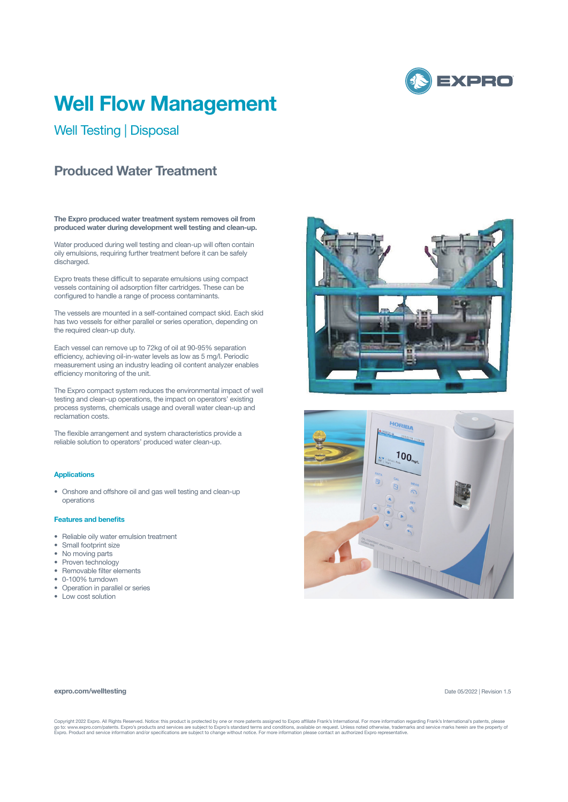

# **Well Flow Management**

Well Testing | Disposal

## **Produced Water Treatment**

**The Expro produced water treatment system removes oil from produced water during development well testing and clean-up.**

Water produced during well testing and clean-up will often contain oily emulsions, requiring further treatment before it can be safely discharged.

Expro treats these difficult to separate emulsions using compact vessels containing oil adsorption filter cartridges. These can be configured to handle a range of process contaminants.

The vessels are mounted in a self-contained compact skid. Each skid has two vessels for either parallel or series operation, depending on the required clean-up duty.

Each vessel can remove up to 72kg of oil at 90-95% separation efficiency, achieving oil-in-water levels as low as 5 mg/l. Periodic measurement using an industry leading oil content analyzer enables efficiency monitoring of the unit.

The Expro compact system reduces the environmental impact of well testing and clean-up operations, the impact on operators' existing process systems, chemicals usage and overall water clean-up and reclamation costs.

The flexible arrangement and system characteristics provide a reliable solution to operators' produced water clean-up.

## **Applications**

• Onshore and offshore oil and gas well testing and clean-up operations

### **Features and benefits**

- Reliable oily water emulsion treatment
- Small footprint size
- No moving parts
- Proven technology
- Removable filter elements
- 0-100% turndown
- Operation in parallel or series
- Low cost solution





#### **expro.com/welltesting**

Date 05/2022 | Revision 1.5

Copyright 2022 Expro. All Rights Reserved. Notice: this product is protected by one or more patents assigned to Expro affiliate Frank's International. For more information regarding Frank's International's patents, please<br>